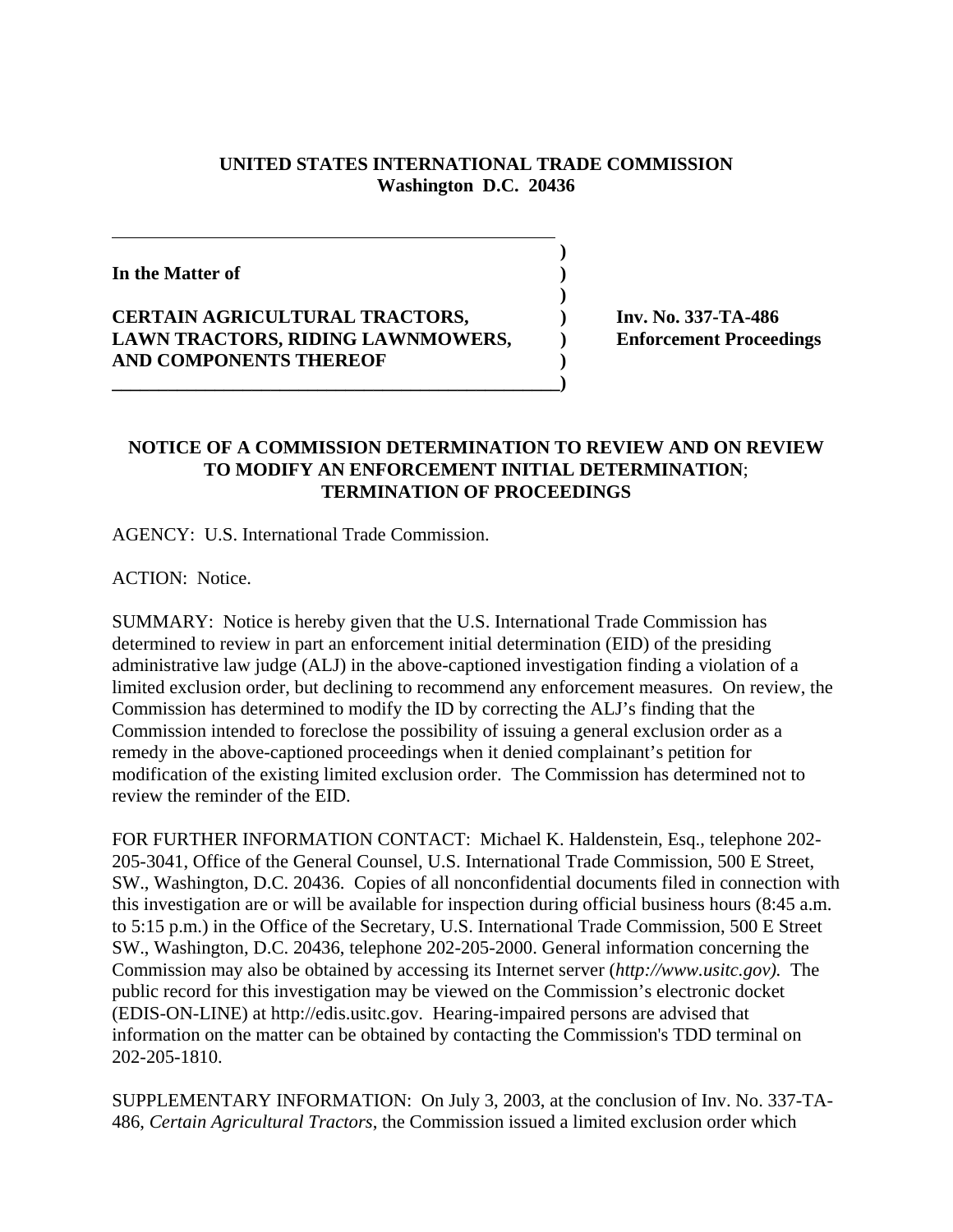## **UNITED STATES INTERNATIONAL TRADE COMMISSION Washington D.C. 20436**

 **)**

**)**

**In the Matter of )**

## **CERTAIN AGRICULTURAL TRACTORS, ) Inv. No. 337-TA-486 LAWN TRACTORS, RIDING LAWNMOWERS, ) Enforcement Proceedings AND COMPONENTS THEREOF )**

**\_\_\_\_\_\_\_\_\_\_\_\_\_\_\_\_\_\_\_\_\_\_\_\_\_\_\_\_\_\_\_\_\_\_\_\_\_\_\_\_\_\_\_\_\_\_\_\_)**

## **NOTICE OF A COMMISSION DETERMINATION TO REVIEW AND ON REVIEW TO MODIFY AN ENFORCEMENT INITIAL DETERMINATION**; **TERMINATION OF PROCEEDINGS**

AGENCY: U.S. International Trade Commission.

ACTION: Notice.

SUMMARY: Notice is hereby given that the U.S. International Trade Commission has determined to review in part an enforcement initial determination (EID) of the presiding administrative law judge (ALJ) in the above-captioned investigation finding a violation of a limited exclusion order, but declining to recommend any enforcement measures. On review, the Commission has determined to modify the ID by correcting the ALJ's finding that the Commission intended to foreclose the possibility of issuing a general exclusion order as a remedy in the above-captioned proceedings when it denied complainant's petition for modification of the existing limited exclusion order. The Commission has determined not to review the reminder of the EID.

FOR FURTHER INFORMATION CONTACT: Michael K. Haldenstein, Esq., telephone 202- 205-3041, Office of the General Counsel, U.S. International Trade Commission, 500 E Street, SW., Washington, D.C. 20436. Copies of all nonconfidential documents filed in connection with this investigation are or will be available for inspection during official business hours (8:45 a.m. to 5:15 p.m.) in the Office of the Secretary, U.S. International Trade Commission, 500 E Street SW., Washington, D.C. 20436, telephone 202-205-2000. General information concerning the Commission may also be obtained by accessing its Internet server (*http://www.usitc.gov).* The public record for this investigation may be viewed on the Commission's electronic docket (EDIS-ON-LINE) at http://edis.usitc.gov. Hearing-impaired persons are advised that information on the matter can be obtained by contacting the Commission's TDD terminal on 202-205-1810.

SUPPLEMENTARY INFORMATION: On July 3, 2003, at the conclusion of Inv. No. 337-TA-486, *Certain Agricultural Tractors*, the Commission issued a limited exclusion order which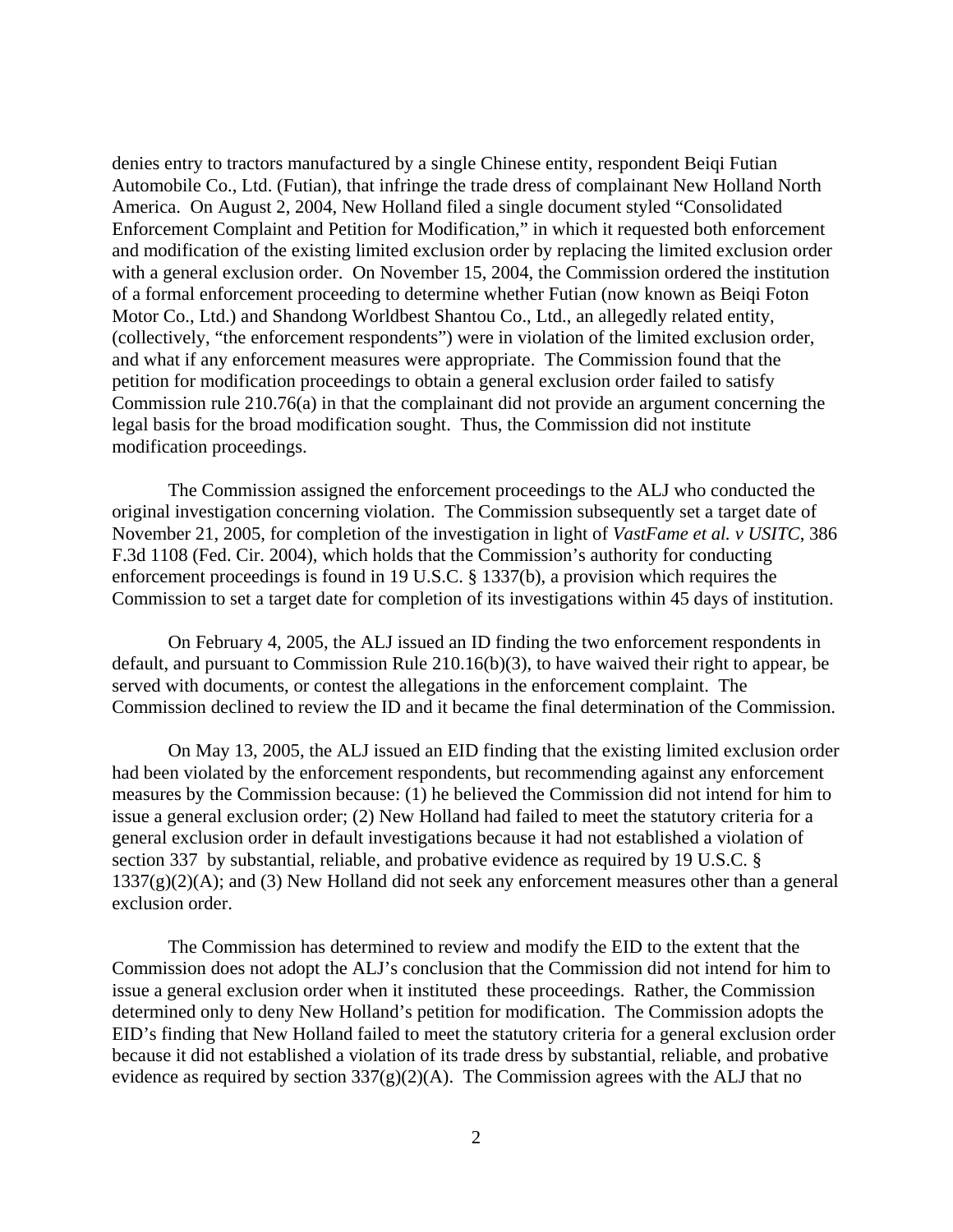denies entry to tractors manufactured by a single Chinese entity, respondent Beiqi Futian Automobile Co., Ltd. (Futian), that infringe the trade dress of complainant New Holland North America. On August 2, 2004, New Holland filed a single document styled "Consolidated Enforcement Complaint and Petition for Modification," in which it requested both enforcement and modification of the existing limited exclusion order by replacing the limited exclusion order with a general exclusion order. On November 15, 2004, the Commission ordered the institution of a formal enforcement proceeding to determine whether Futian (now known as Beiqi Foton Motor Co., Ltd.) and Shandong Worldbest Shantou Co., Ltd., an allegedly related entity, (collectively, "the enforcement respondents") were in violation of the limited exclusion order, and what if any enforcement measures were appropriate. The Commission found that the petition for modification proceedings to obtain a general exclusion order failed to satisfy Commission rule 210.76(a) in that the complainant did not provide an argument concerning the legal basis for the broad modification sought. Thus, the Commission did not institute modification proceedings.

The Commission assigned the enforcement proceedings to the ALJ who conducted the original investigation concerning violation. The Commission subsequently set a target date of November 21, 2005, for completion of the investigation in light of *VastFame et al. v USITC*, 386 F.3d 1108 (Fed. Cir. 2004), which holds that the Commission's authority for conducting enforcement proceedings is found in 19 U.S.C. § 1337(b), a provision which requires the Commission to set a target date for completion of its investigations within 45 days of institution.

On February 4, 2005, the ALJ issued an ID finding the two enforcement respondents in default, and pursuant to Commission Rule 210.16(b)(3), to have waived their right to appear, be served with documents, or contest the allegations in the enforcement complaint. The Commission declined to review the ID and it became the final determination of the Commission.

On May 13, 2005, the ALJ issued an EID finding that the existing limited exclusion order had been violated by the enforcement respondents, but recommending against any enforcement measures by the Commission because: (1) he believed the Commission did not intend for him to issue a general exclusion order; (2) New Holland had failed to meet the statutory criteria for a general exclusion order in default investigations because it had not established a violation of section 337 by substantial, reliable, and probative evidence as required by 19 U.S.C. §  $1337(g)(2)(A)$ ; and (3) New Holland did not seek any enforcement measures other than a general exclusion order.

The Commission has determined to review and modify the EID to the extent that the Commission does not adopt the ALJ's conclusion that the Commission did not intend for him to issue a general exclusion order when it instituted these proceedings. Rather, the Commission determined only to deny New Holland's petition for modification. The Commission adopts the EID's finding that New Holland failed to meet the statutory criteria for a general exclusion order because it did not established a violation of its trade dress by substantial, reliable, and probative evidence as required by section  $337(g)(2)(A)$ . The Commission agrees with the ALJ that no